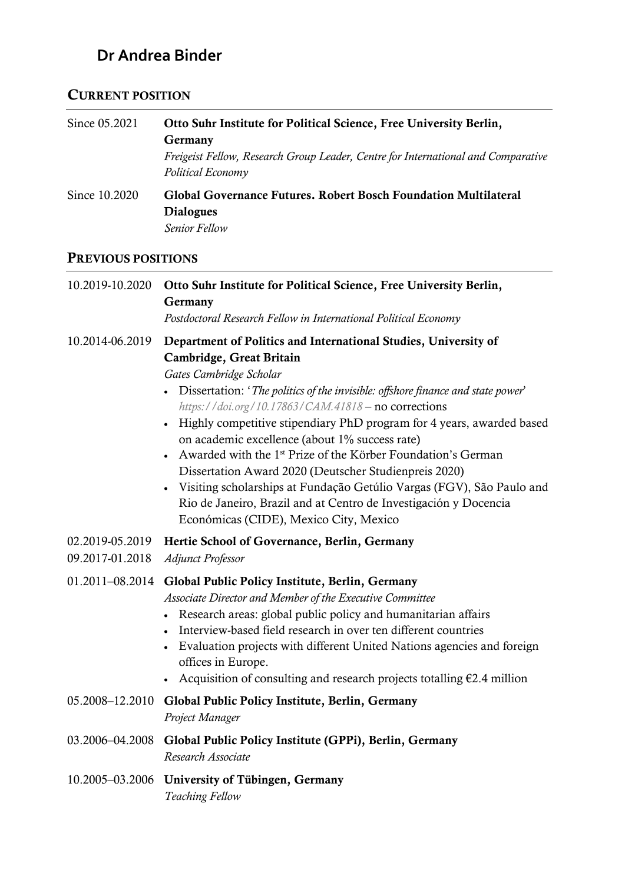# **Dr Andrea Binder**

### CURRENT POSITION

| Since 05.2021 | Otto Suhr Institute for Political Science, Free University Berlin,                                     |
|---------------|--------------------------------------------------------------------------------------------------------|
|               | <b>Germany</b>                                                                                         |
|               | Freigeist Fellow, Research Group Leader, Centre for International and Comparative<br>Political Economy |
| Since 10.2020 | Global Governance Futures. Robert Bosch Foundation Multilateral<br><b>Dialogues</b><br>Senior Fellow   |

### PREVIOUS POSITIONS

| 10.2019-10.2020                    | Otto Suhr Institute for Political Science, Free University Berlin,<br>Germany<br>Postdoctoral Research Fellow in International Political Economy                                                                                                                                                                                                                                                                                                                                                                                                                                                                                                                                                                          |
|------------------------------------|---------------------------------------------------------------------------------------------------------------------------------------------------------------------------------------------------------------------------------------------------------------------------------------------------------------------------------------------------------------------------------------------------------------------------------------------------------------------------------------------------------------------------------------------------------------------------------------------------------------------------------------------------------------------------------------------------------------------------|
| 10.2014-06.2019                    | Department of Politics and International Studies, University of<br>Cambridge, Great Britain<br>Gates Cambridge Scholar<br>Dissertation: 'The politics of the invisible: offshore finance and state power'<br>https://doi.org/10.17863/CAM.41818 - no corrections<br>• Highly competitive stipendiary PhD program for 4 years, awarded based<br>on academic excellence (about 1% success rate)<br>Awarded with the 1 <sup>st</sup> Prize of the Körber Foundation's German<br>Dissertation Award 2020 (Deutscher Studienpreis 2020)<br>Visiting scholarships at Fundação Getúlio Vargas (FGV), São Paulo and<br>Rio de Janeiro, Brazil and at Centro de Investigación y Docencia<br>Económicas (CIDE), Mexico City, Mexico |
| 02.2019-05.2019<br>09.2017-01.2018 | Hertie School of Governance, Berlin, Germany<br>Adjunct Professor                                                                                                                                                                                                                                                                                                                                                                                                                                                                                                                                                                                                                                                         |
|                                    | 01.2011-08.2014 Global Public Policy Institute, Berlin, Germany<br>Associate Director and Member of the Executive Committee<br>• Research areas: global public policy and humanitarian affairs<br>Interview-based field research in over ten different countries<br>Evaluation projects with different United Nations agencies and foreign<br>offices in Europe.<br>Acquisition of consulting and research projects totalling $E2.4$ million                                                                                                                                                                                                                                                                              |
| 05.2008-12.2010                    | Global Public Policy Institute, Berlin, Germany<br>Project Manager                                                                                                                                                                                                                                                                                                                                                                                                                                                                                                                                                                                                                                                        |
| 03.2006-04.2008                    | Global Public Policy Institute (GPPi), Berlin, Germany<br>Research Associate                                                                                                                                                                                                                                                                                                                                                                                                                                                                                                                                                                                                                                              |
| 10.2005-03.2006                    | University of Tübingen, Germany<br>Teaching Fellow                                                                                                                                                                                                                                                                                                                                                                                                                                                                                                                                                                                                                                                                        |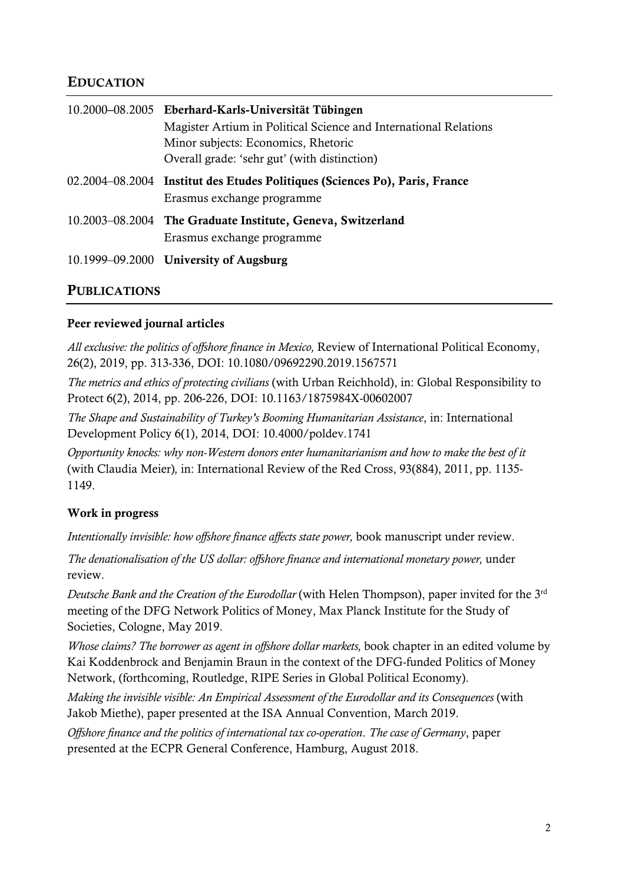#### EDUCATION

| 10.2000–08.2005 Eberhard-Karls-Universität Tübingen                                                       |
|-----------------------------------------------------------------------------------------------------------|
| Magister Artium in Political Science and International Relations                                          |
| Minor subjects: Economics, Rhetoric                                                                       |
| Overall grade: 'sehr gut' (with distinction)                                                              |
| 02.2004–08.2004 Institut des Etudes Politiques (Sciences Po), Paris, France<br>Erasmus exchange programme |
| 10.2003–08.2004 The Graduate Institute, Geneva, Switzerland<br>Erasmus exchange programme                 |
| 10.1999–09.2000 University of Augsburg                                                                    |

#### PUBLICATIONS

#### Peer reviewed journal articles

*All exclusive: the politics of offshore finance in Mexico,* Review of International Political Economy, 26(2), 2019, pp. 313-336, DOI: 10.1080/09692290.2019.1567571

*The metrics and ethics of protecting civilians* (with Urban Reichhold), in: Global Responsibility to Protect 6(2), 2014, pp. 206-226, DOI: 10.1163/1875984X-00602007

*The Shape and Sustainability of Turkey's Booming Humanitarian Assistance*, in: International Development Policy 6(1), 2014, DOI: 10.4000/poldev.1741

*Opportunity knocks: why non-Western donors enter humanitarianism and how to make the best of it*  (with Claudia Meier)*,* in: International Review of the Red Cross, 93(884), 2011, pp. 1135- 1149.

#### Work in progress

*Intentionally invisible: how offshore finance affects state power,* book manuscript under review.

*The denationalisation of the US dollar: offshore finance and international monetary power,* under review.

*Deutsche Bank and the Creation of the Eurodollar* (with Helen Thompson), paper invited for the 3<sup>rd</sup> meeting of the DFG Network Politics of Money, Max Planck Institute for the Study of Societies, Cologne, May 2019.

*Whose claims? The borrower as agent in offshore dollar markets,* book chapter in an edited volume by Kai Koddenbrock and Benjamin Braun in the context of the DFG-funded Politics of Money Network, (forthcoming, Routledge, RIPE Series in Global Political Economy).

*Making the invisible visible: An Empirical Assessment of the Eurodollar and its Consequences* (with Jakob Miethe), paper presented at the ISA Annual Convention, March 2019.

*Offshore finance and the politics of international tax co-operation*. *The case of Germany*, paper presented at the ECPR General Conference, Hamburg, August 2018.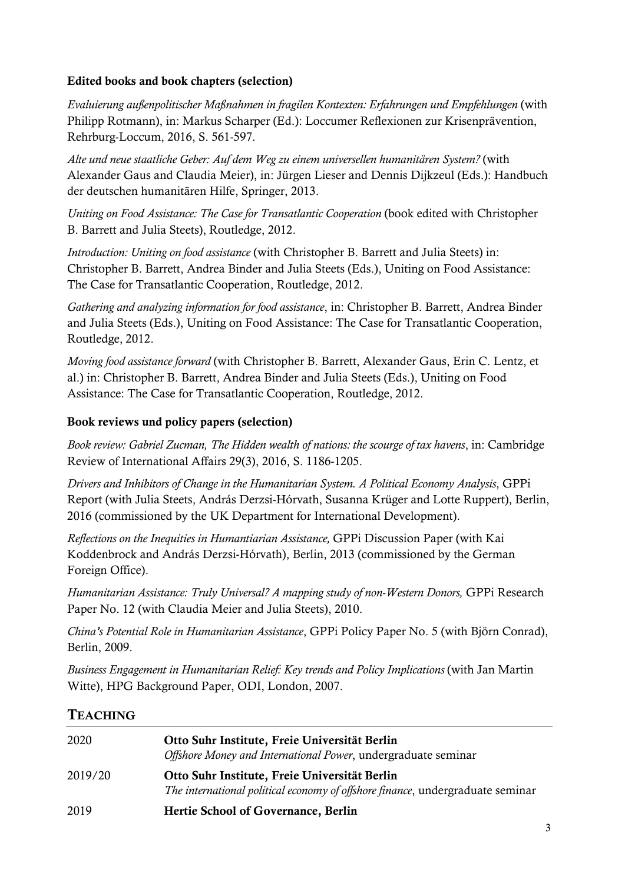#### Edited books and book chapters (selection)

*Evaluierung außenpolitischer Maßnahmen in fragilen Kontexten: Erfahrungen und Empfehlungen* (with Philipp Rotmann), in: Markus Scharper (Ed.): Loccumer Reflexionen zur Krisenprävention, Rehrburg-Loccum, 2016, S. 561-597.

*Alte und neue staatliche Geber: Auf dem Weg zu einem universellen humanitären System?* (with Alexander Gaus and Claudia Meier), in: Jürgen Lieser and Dennis Dijkzeul (Eds.): Handbuch der deutschen humanitären Hilfe, Springer, 2013.

*Uniting on Food Assistance: The Case for Transatlantic Cooperation* (book edited with Christopher B. Barrett and Julia Steets), Routledge, 2012.

*Introduction: Uniting on food assistance* (with Christopher B. Barrett and Julia Steets) in: Christopher B. Barrett, Andrea Binder and Julia Steets (Eds.), Uniting on Food Assistance: The Case for Transatlantic Cooperation, Routledge, 2012.

*Gathering and analyzing information for food assistance*, in: Christopher B. Barrett, Andrea Binder and Julia Steets (Eds.), Uniting on Food Assistance: The Case for Transatlantic Cooperation, Routledge, 2012.

*Moving food assistance forward* (with Christopher B. Barrett, Alexander Gaus, Erin C. Lentz, et al.) in: Christopher B. Barrett, Andrea Binder and Julia Steets (Eds.), Uniting on Food Assistance: The Case for Transatlantic Cooperation, Routledge, 2012.

#### Book reviews und policy papers (selection)

*Book review: Gabriel Zucman, The Hidden wealth of nations: the scourge of tax havens*, in: Cambridge Review of International Affairs 29(3), 2016, S. 1186-1205.

*Drivers and Inhibitors of Change in the Humanitarian System. A Political Economy Analysis*, GPPi Report (with Julia Steets, András Derzsi-Hórvath, Susanna Krüger and Lotte Ruppert), Berlin, 2016 (commissioned by the UK Department for International Development).

*Reflections on the Inequities in Humantiarian Assistance,* GPPi Discussion Paper (with Kai Koddenbrock and András Derzsi-Hórvath), Berlin, 2013 (commissioned by the German Foreign Office).

*Humanitarian Assistance: Truly Universal? A mapping study of non-Western Donors,* GPPi Research Paper No. 12 (with Claudia Meier and Julia Steets), 2010.

*China's Potential Role in Humanitarian Assistance*, GPPi Policy Paper No. 5 (with Björn Conrad), Berlin, 2009.

*Business Engagement in Humanitarian Relief: Key trends and Policy Implications* (with Jan Martin Witte), HPG Background Paper, ODI, London, 2007.

#### **TEACHING**

| 2020    | Otto Suhr Institute, Freie Universität Berlin<br>Offshore Money and International Power, undergraduate seminar                  |
|---------|---------------------------------------------------------------------------------------------------------------------------------|
| 2019/20 | Otto Suhr Institute, Freie Universität Berlin<br>The international political economy of offshore finance, undergraduate seminar |
| 2019    | Hertie School of Governance, Berlin                                                                                             |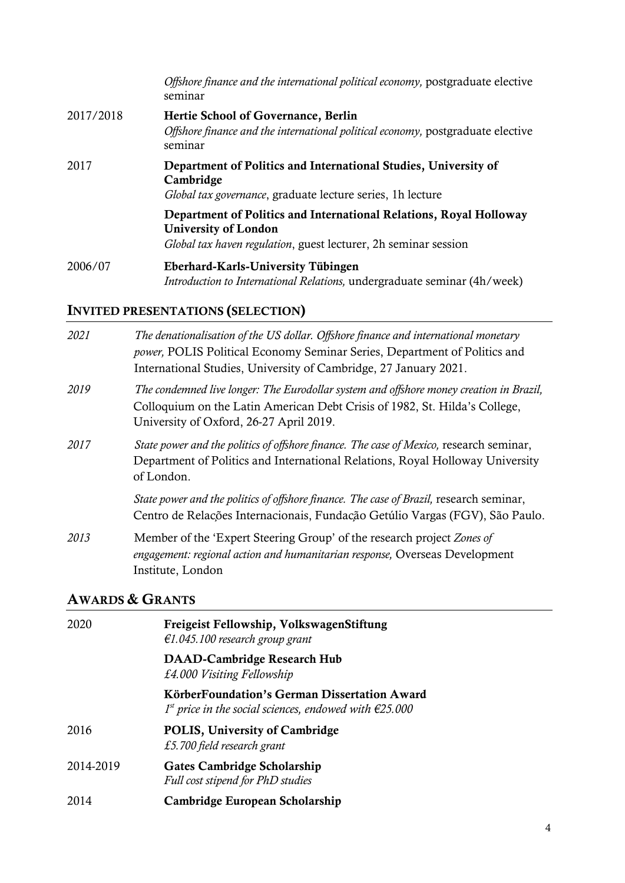|           | Offshore finance and the international political economy, postgraduate elective<br>seminar                                                                           |
|-----------|----------------------------------------------------------------------------------------------------------------------------------------------------------------------|
| 2017/2018 | Hertie School of Governance, Berlin<br>Offshore finance and the international political economy, postgraduate elective<br>seminar                                    |
| 2017      | Department of Politics and International Studies, University of<br>Cambridge<br>Global tax governance, graduate lecture series, 1h lecture                           |
|           | Department of Politics and International Relations, Royal Holloway<br><b>University of London</b><br>Global tax haven regulation, guest lecturer, 2h seminar session |
| 2006/07   | Eberhard-Karls-University Tübingen<br><i>Introduction to International Relations, undergraduate seminar (4h/week)</i>                                                |

## INVITED PRESENTATIONS (SELECTION)

| 2021 | The denationalisation of the US dollar. Offshore finance and international monetary<br><i>power</i> , POLIS Political Economy Seminar Series, Department of Politics and<br>International Studies, University of Cambridge, 27 January 2021. |
|------|----------------------------------------------------------------------------------------------------------------------------------------------------------------------------------------------------------------------------------------------|
| 2019 | The condemned live longer: The Eurodollar system and offshore money creation in Brazil,<br>Colloquium on the Latin American Debt Crisis of 1982, St. Hilda's College,<br>University of Oxford, 26-27 April 2019.                             |
| 2017 | State power and the politics of offshore finance. The case of Mexico, research seminar,<br>Department of Politics and International Relations, Royal Holloway University<br>of London.                                                       |
|      | State power and the politics of offshore finance. The case of Brazil, research seminar,<br>Centro de Relações Internacionais, Fundação Getúlio Vargas (FGV), São Paulo.                                                                      |
| 2013 | Member of the 'Expert Steering Group' of the research project Zones of<br>engagement: regional action and humanitarian response, Overseas Development<br>Institute, London                                                                   |

## AWARDS & GRANTS

| 2020      | Freigeist Fellowship, VolkswagenStiftung<br>$€1.045.100$ research group grant                                      |
|-----------|--------------------------------------------------------------------------------------------------------------------|
|           | <b>DAAD-Cambridge Research Hub</b><br>£4.000 Visiting Fellowship                                                   |
|           | KörberFoundation's German Dissertation Award<br>$1st$ price in the social sciences, endowed with $\epsilon$ 25.000 |
| 2016      | <b>POLIS, University of Cambridge</b><br>£5.700 field research grant                                               |
| 2014-2019 | <b>Gates Cambridge Scholarship</b><br>Full cost stipend for PhD studies                                            |
| 2014      | Cambridge European Scholarship                                                                                     |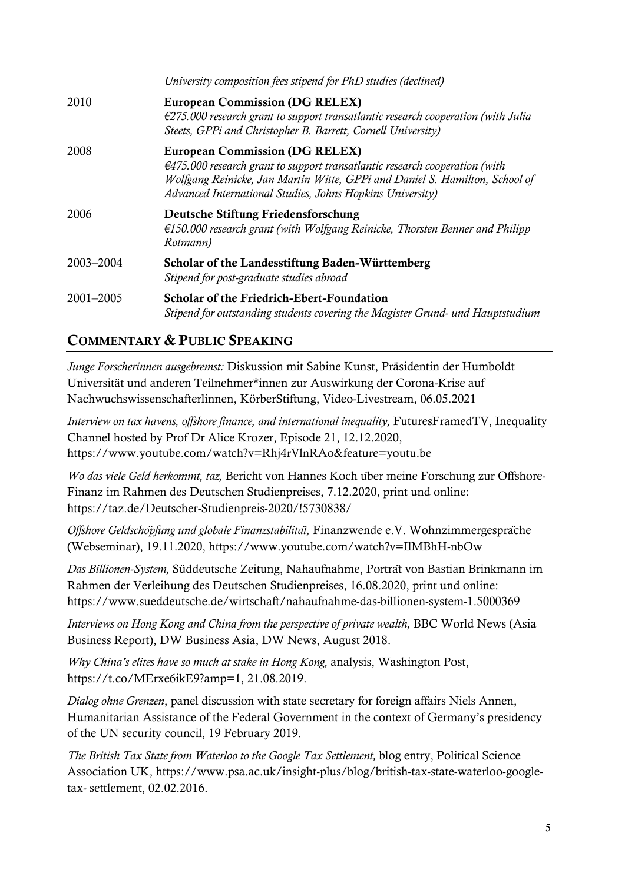|               | University composition fees stipend for PhD studies (declined)                                                                                                                                                                                                             |
|---------------|----------------------------------------------------------------------------------------------------------------------------------------------------------------------------------------------------------------------------------------------------------------------------|
| 2010          | <b>European Commission (DG RELEX)</b><br>$\epsilon$ 275.000 research grant to support transatlantic research cooperation (with Julia<br>Steets, GPPi and Christopher B. Barrett, Cornell University)                                                                       |
| 2008          | <b>European Commission (DG RELEX)</b><br>$\epsilon$ 475.000 research grant to support transatlantic research cooperation (with<br>Wolfgang Reinicke, Jan Martin Witte, GPPi and Daniel S. Hamilton, School of<br>Advanced International Studies, Johns Hopkins University) |
| 2006          | Deutsche Stiftung Friedensforschung<br>$\epsilon$ 150.000 research grant (with Wolfgang Reinicke, Thorsten Benner and Philipp<br>Rotmann)                                                                                                                                  |
| 2003-2004     | Scholar of the Landesstiftung Baden-Württemberg<br>Stipend for post-graduate studies abroad                                                                                                                                                                                |
| $2001 - 2005$ | <b>Scholar of the Friedrich-Ebert-Foundation</b><br>Stipend for outstanding students covering the Magister Grund- und Hauptstudium                                                                                                                                         |

### COMMENTARY & PUBLIC SPEAKING

*Junge Forscherinnen ausgebremst:* Diskussion mit Sabine Kunst, Präsidentin der Humboldt Universität und anderen Teilnehmer\*innen zur Auswirkung der Corona-Krise auf Nachwuchswissenschafterlinnen, KörberStiftung, Video-Livestream, 06.05.2021

*Interview on tax havens, offshore finance, and international inequality,* FuturesFramedTV, Inequality Channel hosted by Prof Dr Alice Krozer, Episode 21, 12.12.2020, https://www.youtube.com/watch?v=Rhj4rVlnRAo&feature=youtu.be

*Wo das viele Geld herkommt, taz,* Bericht von Hannes Koch über meine Forschung zur Offshore-Finanz im Rahmen des Deutschen Studienpreises, 7.12.2020, print und online: https://taz.de/Deutscher-Studienpreis-2020/!5730838/

*Offshore Geldschöpfung und globale Finanzstabilität,* Finanzwende e.V. Wohnzimmergespräche (Webseminar), 19.11.2020, https://www.youtube.com/watch?v=IlMBhH-nbOw

*Das Billionen-System,* Süddeutsche Zeitung, Nahaufnahme, Porträt von Bastian Brinkmann im Rahmen der Verleihung des Deutschen Studienpreises, 16.08.2020, print und online: https://www.sueddeutsche.de/wirtschaft/nahaufnahme-das-billionen-system-1.5000369

*Interviews on Hong Kong and China from the perspective of private wealth,* BBC World News (Asia Business Report), DW Business Asia, DW News, August 2018.

*Why China's elites have so much at stake in Hong Kong,* analysis, Washington Post, https://t.co/MErxe6ikE9?amp=1, 21.08.2019.

*Dialog ohne Grenzen*, panel discussion with state secretary for foreign affairs Niels Annen, Humanitarian Assistance of the Federal Government in the context of Germany's presidency of the UN security council, 19 February 2019.

*The British Tax State from Waterloo to the Google Tax Settlement,* blog entry, Political Science Association UK, https://www.psa.ac.uk/insight-plus/blog/british-tax-state-waterloo-googletax- settlement, 02.02.2016.